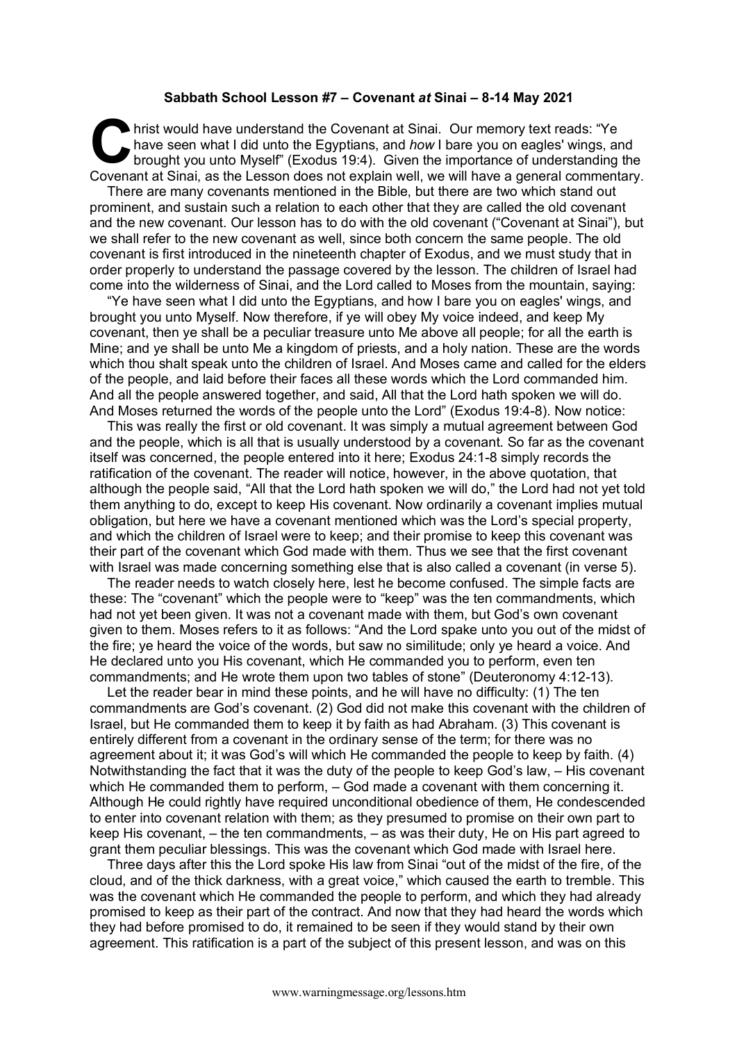## **Sabbath School Lesson #7 – Covenant** *at* **Sinai – 8-14 May 2021**

hrist would have understand the Covenant at Sinai. Our memory text reads: "Ye have seen what I did unto the Egyptians, and *how* I bare you on eagles' wings, and brought you unto Myself" (Exodus 19:4). Given the importance of understanding the Covenant at Sinai, as the Lesson does not explain well, we will have a general commentary. **C** had

There are many covenants mentioned in the Bible, but there are two which stand out prominent, and sustain such a relation to each other that they are called the old covenant and the new covenant. Our lesson has to do with the old covenant ("Covenant at Sinai"), but we shall refer to the new covenant as well, since both concern the same people. The old covenant is first introduced in the nineteenth chapter of Exodus, and we must study that in order properly to understand the passage covered by the lesson. The children of Israel had come into the wilderness of Sinai, and the Lord called to Moses from the mountain, saying:

"Ye have seen what I did unto the Egyptians, and how I bare you on eagles' wings, and brought you unto Myself. Now therefore, if ye will obey My voice indeed, and keep My covenant, then ye shall be a peculiar treasure unto Me above all people; for all the earth is Mine; and ye shall be unto Me a kingdom of priests, and a holy nation. These are the words which thou shalt speak unto the children of Israel. And Moses came and called for the elders of the people, and laid before their faces all these words which the Lord commanded him. And all the people answered together, and said, All that the Lord hath spoken we will do. And Moses returned the words of the people unto the Lord" (Exodus 19:4-8). Now notice:

This was really the first or old covenant. It was simply a mutual agreement between God and the people, which is all that is usually understood by a covenant. So far as the covenant itself was concerned, the people entered into it here; Exodus 24:1-8 simply records the ratification of the covenant. The reader will notice, however, in the above quotation, that although the people said, "All that the Lord hath spoken we will do," the Lord had not yet told them anything to do, except to keep His covenant. Now ordinarily a covenant implies mutual obligation, but here we have a covenant mentioned which was the Lord's special property, and which the children of Israel were to keep; and their promise to keep this covenant was their part of the covenant which God made with them. Thus we see that the first covenant with Israel was made concerning something else that is also called a covenant (in verse 5).

The reader needs to watch closely here, lest he become confused. The simple facts are these: The "covenant" which the people were to "keep" was the ten commandments, which had not yet been given. It was not a covenant made with them, but God's own covenant given to them. Moses refers to it as follows: "And the Lord spake unto you out of the midst of the fire; ye heard the voice of the words, but saw no similitude; only ye heard a voice. And He declared unto you His covenant, which He commanded you to perform, even ten commandments; and He wrote them upon two tables of stone" (Deuteronomy 4:12-13).

Let the reader bear in mind these points, and he will have no difficulty: (1) The ten commandments are God's covenant. (2) God did not make this covenant with the children of Israel, but He commanded them to keep it by faith as had Abraham. (3) This covenant is entirely different from a covenant in the ordinary sense of the term; for there was no agreement about it; it was God's will which He commanded the people to keep by faith. (4) Notwithstanding the fact that it was the duty of the people to keep God's law, – His covenant which He commanded them to perform,  $-$  God made a covenant with them concerning it. Although He could rightly have required unconditional obedience of them, He condescended to enter into covenant relation with them; as they presumed to promise on their own part to keep His covenant, – the ten commandments, – as was their duty, He on His part agreed to grant them peculiar blessings. This was the covenant which God made with Israel here.

Three days after this the Lord spoke His law from Sinai "out of the midst of the fire, of the cloud, and of the thick darkness, with a great voice," which caused the earth to tremble. This was the covenant which He commanded the people to perform, and which they had already promised to keep as their part of the contract. And now that they had heard the words which they had before promised to do, it remained to be seen if they would stand by their own agreement. This ratification is a part of the subject of this present lesson, and was on this